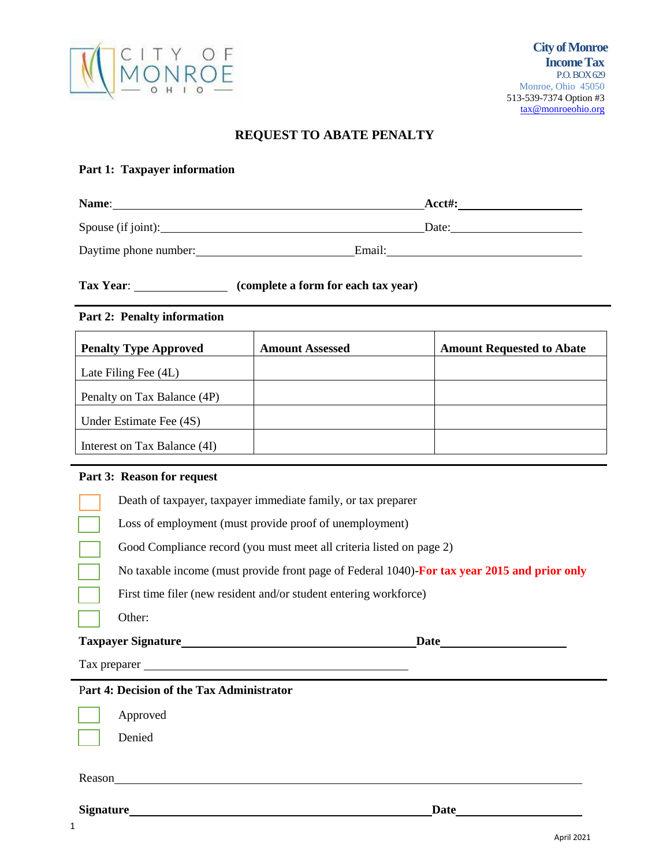

## **REQUEST TO ABATE PENALTY**

### **Part 1: Taxpayer information**

| Name:                 |        | $Acct\#$ : |
|-----------------------|--------|------------|
| Spouse (if joint):    |        | Date:      |
| Daytime phone number: | Email: |            |

# **Tax Year**: **(complete a form for each tax year)**

#### **Part 2: Penalty information**

| <b>Penalty Type Approved</b> | <b>Amount Assessed</b> | <b>Amount Requested to Abate</b> |
|------------------------------|------------------------|----------------------------------|
| Late Filing Fee (4L)         |                        |                                  |
| Penalty on Tax Balance (4P)  |                        |                                  |
| Under Estimate Fee (4S)      |                        |                                  |
| Interest on Tax Balance (4I) |                        |                                  |

#### **Part 3: Reason for request**

|              | Part 4: Decision of the Tax Administrator                                                    |      |
|--------------|----------------------------------------------------------------------------------------------|------|
| Tax preparer |                                                                                              |      |
|              | <b>Taxpayer Signature</b>                                                                    | Date |
|              | Other:                                                                                       |      |
|              | First time filer (new resident and/or student entering workforce)                            |      |
|              | No taxable income (must provide front page of Federal 1040)-For tax year 2015 and prior only |      |
|              | Good Compliance record (you must meet all criteria listed on page 2)                         |      |
|              | Loss of employment (must provide proof of unemployment)                                      |      |
|              | Death of taxpayer, taxpayer immediate family, or tax preparer                                |      |
|              |                                                                                              |      |

#### P**art 4: Decision of the Tax Administrator**

Approved Denied

Reason **Exercise 2018** 

**Signature Date**